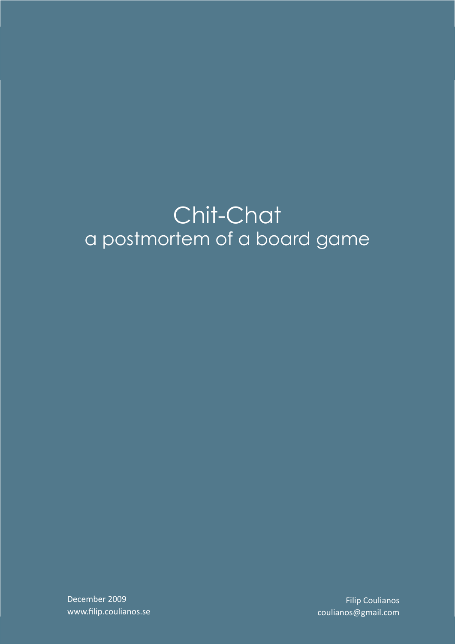# Chit-Chat a postmortem of a board game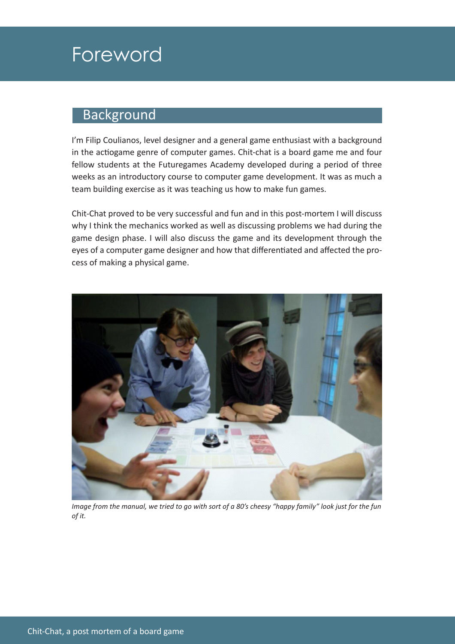### Foreword

#### **Background**

I'm Filip Coulianos, level designer and a general game enthusiast with a background in the actiogame genre of computer games. Chit-chat is a board game me and four fellow students at the Futuregames Academy developed during a period of three weeks as an introductory course to computer game development. It was as much a team building exercise as it was teaching us how to make fun games.

Chit-Chat proved to be very successful and fun and in this post-mortem I will discuss why I think the mechanics worked as well as discussing problems we had during the game design phase. I will also discuss the game and its development through the eyes of a computer game designer and how that differentiated and affected the process of making a physical game.



*Image from the manual, we tried to go with sort of a 80's cheesy "happy family" look just for the fun of it.*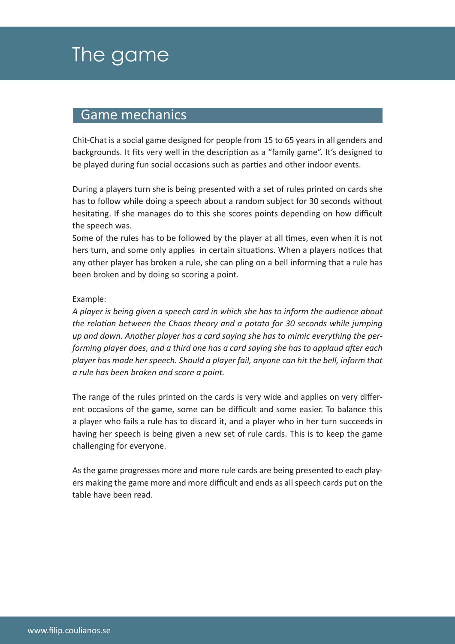## The game

#### Game mechanics

Chit-Chat is a social game designed for people from 15 to 65 years in all genders and backgrounds. It fits very well in the description as a "family game". It's designed to be played during fun social occasions such as parties and other indoor events.

During a players turn she is being presented with a set of rules printed on cards she has to follow while doing a speech about a random subject for 30 seconds without hesitating. If she manages do to this she scores points depending on how difficult the speech was.

Some of the rules has to be followed by the player at all times, even when it is not hers turn, and some only applies in certain situations. When a players notices that any other player has broken a rule, she can pling on a bell informing that a rule has been broken and by doing so scoring a point.

#### Example:

*A player is being given a speech card in which she has to inform the audience about the relation between the Chaos theory and a potato for 30 seconds while jumping up and down. Another player has a card saying she has to mimic everything the performing player does, and a third one has a card saying she has to applaud after each player has made her speech. Should a player fail, anyone can hit the bell, inform that a rule has been broken and score a point.*

The range of the rules printed on the cards is very wide and applies on very different occasions of the game, some can be difficult and some easier. To balance this a player who fails a rule has to discard it, and a player who in her turn succeeds in having her speech is being given a new set of rule cards. This is to keep the game challenging for everyone.

As the game progresses more and more rule cards are being presented to each players making the game more and more difficult and ends as all speech cards put on the table have been read.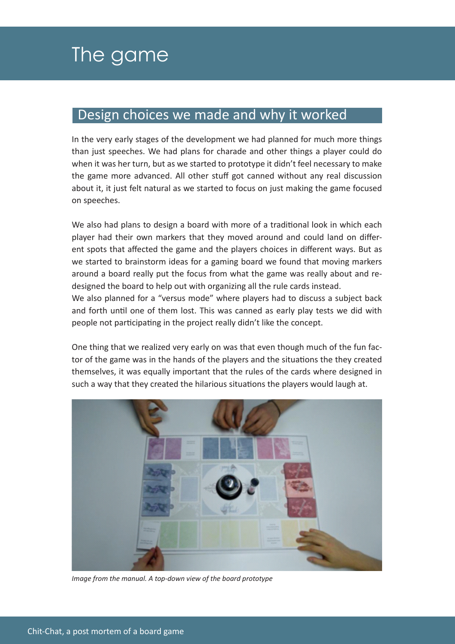#### Design choices we made and why it worked

In the very early stages of the development we had planned for much more things than just speeches. We had plans for charade and other things a player could do when it was her turn, but as we started to prototype it didn't feel necessary to make the game more advanced. All other stuff got canned without any real discussion about it, it just felt natural as we started to focus on just making the game focused on speeches.

We also had plans to design a board with more of a traditional look in which each player had their own markers that they moved around and could land on different spots that affected the game and the players choices in different ways. But as we started to brainstorm ideas for a gaming board we found that moving markers around a board really put the focus from what the game was really about and redesigned the board to help out with organizing all the rule cards instead.

We also planned for a "versus mode" where players had to discuss a subject back and forth until one of them lost. This was canned as early play tests we did with people not participating in the project really didn't like the concept.

One thing that we realized very early on was that even though much of the fun factor of the game was in the hands of the players and the situations the they created themselves, it was equally important that the rules of the cards where designed in such a way that they created the hilarious situations the players would laugh at.



*Image from the manual. A top-down view of the board prototype*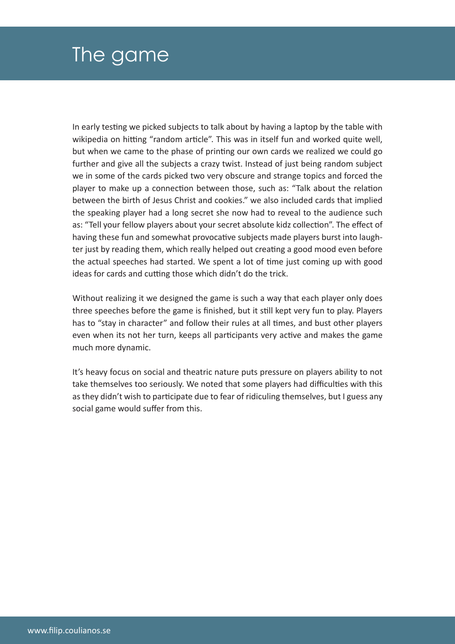## The game

In early testing we picked subjects to talk about by having a laptop by the table with wikipedia on hitting "random article". This was in itself fun and worked quite well, but when we came to the phase of printing our own cards we realized we could go further and give all the subjects a crazy twist. Instead of just being random subject we in some of the cards picked two very obscure and strange topics and forced the player to make up a connection between those, such as: "Talk about the relation between the birth of Jesus Christ and cookies." we also included cards that implied the speaking player had a long secret she now had to reveal to the audience such as: "Tell your fellow players about your secret absolute kidz collection". The effect of having these fun and somewhat provocative subjects made players burst into laughter just by reading them, which really helped out creating a good mood even before the actual speeches had started. We spent a lot of time just coming up with good ideas for cards and cutting those which didn't do the trick.

Without realizing it we designed the game is such a way that each player only does three speeches before the game is finished, but it still kept very fun to play. Players has to "stay in character" and follow their rules at all times, and bust other players even when its not her turn, keeps all participants very active and makes the game much more dynamic.

It's heavy focus on social and theatric nature puts pressure on players ability to not take themselves too seriously. We noted that some players had difficulties with this as they didn't wish to participate due to fear of ridiculing themselves, but I guess any social game would suffer from this.